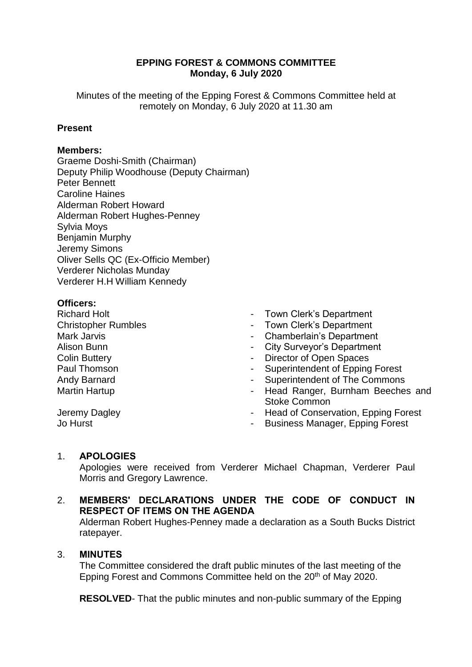## **EPPING FOREST & COMMONS COMMITTEE Monday, 6 July 2020**

Minutes of the meeting of the Epping Forest & Commons Committee held at remotely on Monday, 6 July 2020 at 11.30 am

## **Present**

#### **Members:**

Graeme Doshi-Smith (Chairman) Deputy Philip Woodhouse (Deputy Chairman) Peter Bennett Caroline Haines Alderman Robert Howard Alderman Robert Hughes-Penney Sylvia Moys Benjamin Murphy Jeremy Simons Oliver Sells QC (Ex-Officio Member) Verderer Nicholas Munday Verderer H.H William Kennedy

## **Officers:**

Richard Holt Christopher Rumbles Mark Jarvis Alison Bunn Colin Buttery Paul Thomson Andy Barnard Martin Hartup

- Town Clerk's Department
- Town Clerk's Department
- Chamberlain's Department
- City Surveyor's Department
- Director of Open Spaces
- Superintendent of Epping Forest
- Superintendent of The Commons
- Head Ranger, Burnham Beeches and Stoke Common
- Head of Conservation, Epping Forest
- Business Manager, Epping Forest

# 1. **APOLOGIES**

Jeremy Dagley

Jo Hurst

Apologies were received from Verderer Michael Chapman, Verderer Paul Morris and Gregory Lawrence.

## 2. **MEMBERS' DECLARATIONS UNDER THE CODE OF CONDUCT IN RESPECT OF ITEMS ON THE AGENDA**

Alderman Robert Hughes-Penney made a declaration as a South Bucks District ratepayer.

#### 3. **MINUTES**

The Committee considered the draft public minutes of the last meeting of the Epping Forest and Commons Committee held on the 20<sup>th</sup> of May 2020.

**RESOLVED**- That the public minutes and non-public summary of the Epping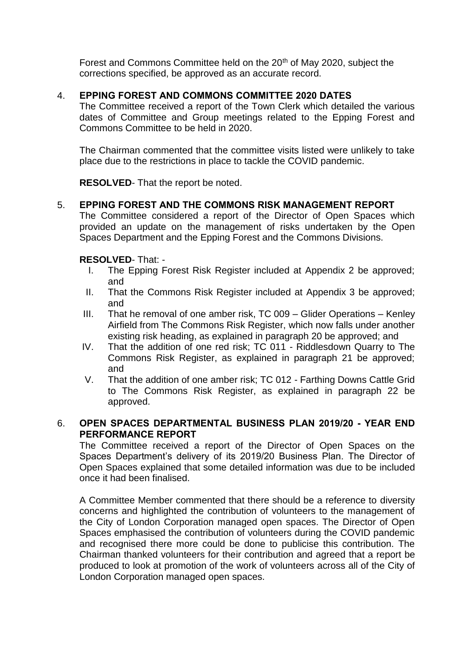Forest and Commons Committee held on the 20<sup>th</sup> of May 2020, subject the corrections specified, be approved as an accurate record.

## 4. **EPPING FOREST AND COMMONS COMMITTEE 2020 DATES**

The Committee received a report of the Town Clerk which detailed the various dates of Committee and Group meetings related to the Epping Forest and Commons Committee to be held in 2020.

The Chairman commented that the committee visits listed were unlikely to take place due to the restrictions in place to tackle the COVID pandemic.

**RESOLVED**- That the report be noted.

## 5. **EPPING FOREST AND THE COMMONS RISK MANAGEMENT REPORT**

The Committee considered a report of the Director of Open Spaces which provided an update on the management of risks undertaken by the Open Spaces Department and the Epping Forest and the Commons Divisions.

## **RESOLVED**- That: -

- I. The Epping Forest Risk Register included at Appendix 2 be approved; and
- II. That the Commons Risk Register included at Appendix 3 be approved; and
- III. That he removal of one amber risk, TC 009 Glider Operations Kenley Airfield from The Commons Risk Register, which now falls under another existing risk heading, as explained in paragraph 20 be approved; and
- IV. That the addition of one red risk; TC 011 Riddlesdown Quarry to The Commons Risk Register, as explained in paragraph 21 be approved; and
- V. That the addition of one amber risk; TC 012 Farthing Downs Cattle Grid to The Commons Risk Register, as explained in paragraph 22 be approved.

#### 6. **OPEN SPACES DEPARTMENTAL BUSINESS PLAN 2019/20 - YEAR END PERFORMANCE REPORT**

The Committee received a report of the Director of Open Spaces on the Spaces Department's delivery of its 2019/20 Business Plan. The Director of Open Spaces explained that some detailed information was due to be included once it had been finalised.

A Committee Member commented that there should be a reference to diversity concerns and highlighted the contribution of volunteers to the management of the City of London Corporation managed open spaces. The Director of Open Spaces emphasised the contribution of volunteers during the COVID pandemic and recognised there more could be done to publicise this contribution. The Chairman thanked volunteers for their contribution and agreed that a report be produced to look at promotion of the work of volunteers across all of the City of London Corporation managed open spaces.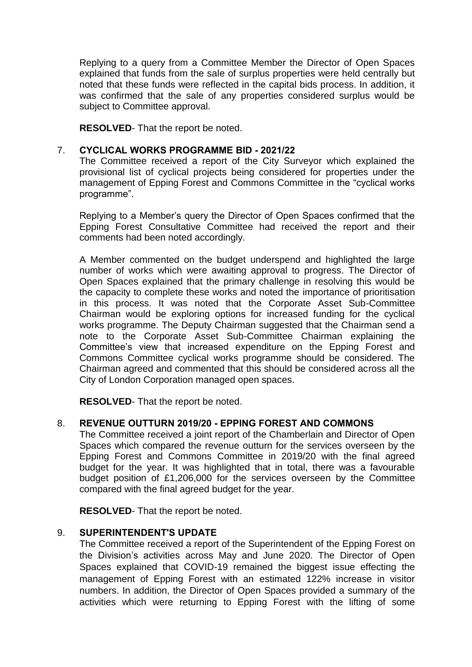Replying to a query from a Committee Member the Director of Open Spaces explained that funds from the sale of surplus properties were held centrally but noted that these funds were reflected in the capital bids process. In addition, it was confirmed that the sale of any properties considered surplus would be subject to Committee approval.

**RESOLVED**- That the report be noted.

## 7. **CYCLICAL WORKS PROGRAMME BID - 2021/22**

The Committee received a report of the City Surveyor which explained the provisional list of cyclical projects being considered for properties under the management of Epping Forest and Commons Committee in the "cyclical works programme".

Replying to a Member's query the Director of Open Spaces confirmed that the Epping Forest Consultative Committee had received the report and their comments had been noted accordingly.

A Member commented on the budget underspend and highlighted the large number of works which were awaiting approval to progress. The Director of Open Spaces explained that the primary challenge in resolving this would be the capacity to complete these works and noted the importance of prioritisation in this process. It was noted that the Corporate Asset Sub-Committee Chairman would be exploring options for increased funding for the cyclical works programme. The Deputy Chairman suggested that the Chairman send a note to the Corporate Asset Sub-Committee Chairman explaining the Committee's view that increased expenditure on the Epping Forest and Commons Committee cyclical works programme should be considered. The Chairman agreed and commented that this should be considered across all the City of London Corporation managed open spaces.

**RESOLVED**- That the report be noted.

## 8. **REVENUE OUTTURN 2019/20 - EPPING FOREST AND COMMONS**

The Committee received a joint report of the Chamberlain and Director of Open Spaces which compared the revenue outturn for the services overseen by the Epping Forest and Commons Committee in 2019/20 with the final agreed budget for the year. It was highlighted that in total, there was a favourable budget position of £1,206,000 for the services overseen by the Committee compared with the final agreed budget for the year.

**RESOLVED**- That the report be noted.

## 9. **SUPERINTENDENT'S UPDATE**

The Committee received a report of the Superintendent of the Epping Forest on the Division's activities across May and June 2020. The Director of Open Spaces explained that COVID-19 remained the biggest issue effecting the management of Epping Forest with an estimated 122% increase in visitor numbers. In addition, the Director of Open Spaces provided a summary of the activities which were returning to Epping Forest with the lifting of some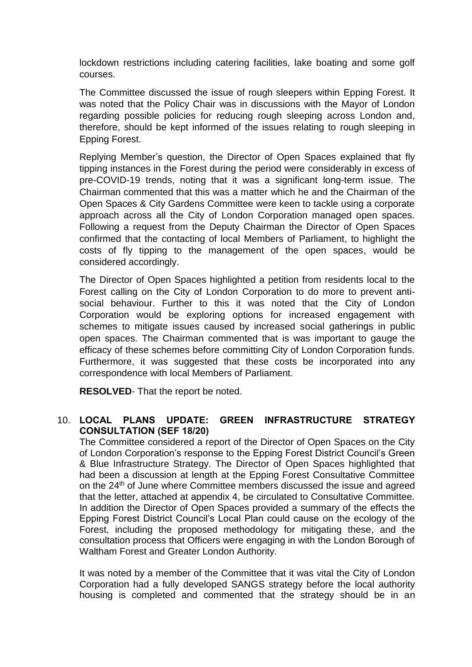lockdown restrictions including catering facilities, lake boating and some golf courses.

The Committee discussed the issue of rough sleepers within Epping Forest. It was noted that the Policy Chair was in discussions with the Mayor of London regarding possible policies for reducing rough sleeping across London and, therefore, should be kept informed of the issues relating to rough sleeping in Epping Forest.

Replying Member's question, the Director of Open Spaces explained that fly tipping instances in the Forest during the period were considerably in excess of pre-COVID-19 trends, noting that it was a significant long-term issue. The Chairman commented that this was a matter which he and the Chairman of the Open Spaces & City Gardens Committee were keen to tackle using a corporate approach across all the City of London Corporation managed open spaces. Following a request from the Deputy Chairman the Director of Open Spaces confirmed that the contacting of local Members of Parliament, to highlight the costs of fly tipping to the management of the open spaces, would be considered accordingly.

The Director of Open Spaces highlighted a petition from residents local to the Forest calling on the City of London Corporation to do more to prevent antisocial behaviour. Further to this it was noted that the City of London Corporation would be exploring options for increased engagement with schemes to mitigate issues caused by increased social gatherings in public open spaces. The Chairman commented that is was important to gauge the efficacy of these schemes before committing City of London Corporation funds. Furthermore, it was suggested that these costs be incorporated into any correspondence with local Members of Parliament.

**RESOLVED**- That the report be noted.

## 10. **LOCAL PLANS UPDATE: GREEN INFRASTRUCTURE STRATEGY CONSULTATION (SEF 18/20)**

The Committee considered a report of the Director of Open Spaces on the City of London Corporation's response to the Epping Forest District Council's Green & Blue Infrastructure Strategy. The Director of Open Spaces highlighted that had been a discussion at length at the Epping Forest Consultative Committee on the 24<sup>th</sup> of June where Committee members discussed the issue and agreed that the letter, attached at appendix 4, be circulated to Consultative Committee. In addition the Director of Open Spaces provided a summary of the effects the Epping Forest District Council's Local Plan could cause on the ecology of the Forest, including the proposed methodology for mitigating these, and the consultation process that Officers were engaging in with the London Borough of Waltham Forest and Greater London Authority.

It was noted by a member of the Committee that it was vital the City of London Corporation had a fully developed SANGS strategy before the local authority housing is completed and commented that the strategy should be in an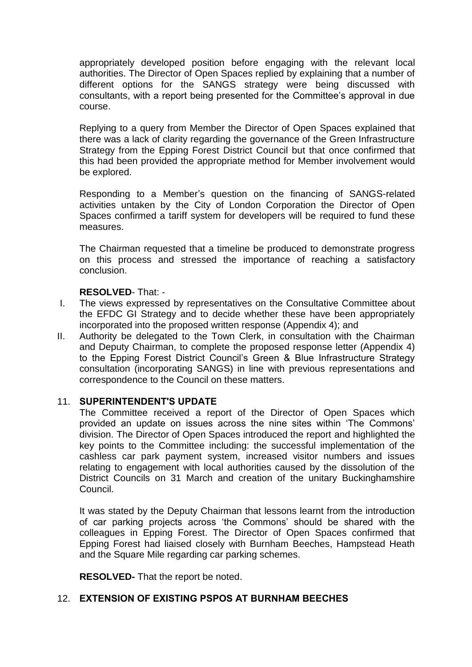appropriately developed position before engaging with the relevant local authorities. The Director of Open Spaces replied by explaining that a number of different options for the SANGS strategy were being discussed with consultants, with a report being presented for the Committee's approval in due course.

Replying to a query from Member the Director of Open Spaces explained that there was a lack of clarity regarding the governance of the Green Infrastructure Strategy from the Epping Forest District Council but that once confirmed that this had been provided the appropriate method for Member involvement would be explored.

Responding to a Member's question on the financing of SANGS-related activities untaken by the City of London Corporation the Director of Open Spaces confirmed a tariff system for developers will be required to fund these measures.

The Chairman requested that a timeline be produced to demonstrate progress on this process and stressed the importance of reaching a satisfactory conclusion.

#### **RESOLVED**- That: -

- I. The views expressed by representatives on the Consultative Committee about the EFDC GI Strategy and to decide whether these have been appropriately incorporated into the proposed written response (Appendix 4); and
- II. Authority be delegated to the Town Clerk, in consultation with the Chairman and Deputy Chairman, to complete the proposed response letter (Appendix 4) to the Epping Forest District Council's Green & Blue Infrastructure Strategy consultation (incorporating SANGS) in line with previous representations and correspondence to the Council on these matters.

#### 11. **SUPERINTENDENT'S UPDATE**

The Committee received a report of the Director of Open Spaces which provided an update on issues across the nine sites within 'The Commons' division. The Director of Open Spaces introduced the report and highlighted the key points to the Committee including: the successful implementation of the cashless car park payment system, increased visitor numbers and issues relating to engagement with local authorities caused by the dissolution of the District Councils on 31 March and creation of the unitary Buckinghamshire Council.

It was stated by the Deputy Chairman that lessons learnt from the introduction of car parking projects across 'the Commons' should be shared with the colleagues in Epping Forest. The Director of Open Spaces confirmed that Epping Forest had liaised closely with Burnham Beeches, Hampstead Heath and the Square Mile regarding car parking schemes.

**RESOLVED-** That the report be noted.

#### 12. **EXTENSION OF EXISTING PSPOS AT BURNHAM BEECHES**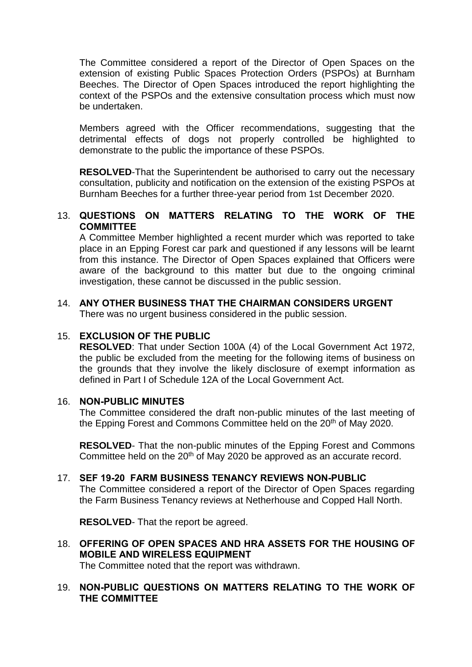The Committee considered a report of the Director of Open Spaces on the extension of existing Public Spaces Protection Orders (PSPOs) at Burnham Beeches. The Director of Open Spaces introduced the report highlighting the context of the PSPOs and the extensive consultation process which must now be undertaken.

Members agreed with the Officer recommendations, suggesting that the detrimental effects of dogs not properly controlled be highlighted to demonstrate to the public the importance of these PSPOs.

**RESOLVED**-That the Superintendent be authorised to carry out the necessary consultation, publicity and notification on the extension of the existing PSPOs at Burnham Beeches for a further three-year period from 1st December 2020.

#### 13. **QUESTIONS ON MATTERS RELATING TO THE WORK OF THE COMMITTEE**

A Committee Member highlighted a recent murder which was reported to take place in an Epping Forest car park and questioned if any lessons will be learnt from this instance. The Director of Open Spaces explained that Officers were aware of the background to this matter but due to the ongoing criminal investigation, these cannot be discussed in the public session.

## 14. **ANY OTHER BUSINESS THAT THE CHAIRMAN CONSIDERS URGENT**

There was no urgent business considered in the public session.

#### 15. **EXCLUSION OF THE PUBLIC**

**RESOLVED**: That under Section 100A (4) of the Local Government Act 1972, the public be excluded from the meeting for the following items of business on the grounds that they involve the likely disclosure of exempt information as defined in Part I of Schedule 12A of the Local Government Act.

#### 16. **NON-PUBLIC MINUTES**

The Committee considered the draft non-public minutes of the last meeting of the Epping Forest and Commons Committee held on the 20<sup>th</sup> of May 2020.

**RESOLVED**- That the non-public minutes of the Epping Forest and Commons Committee held on the 20<sup>th</sup> of May 2020 be approved as an accurate record.

#### 17. **SEF 19-20 FARM BUSINESS TENANCY REVIEWS NON-PUBLIC**

The Committee considered a report of the Director of Open Spaces regarding the Farm Business Tenancy reviews at Netherhouse and Copped Hall North.

**RESOLVED**- That the report be agreed.

18. **OFFERING OF OPEN SPACES AND HRA ASSETS FOR THE HOUSING OF MOBILE AND WIRELESS EQUIPMENT**

The Committee noted that the report was withdrawn.

## 19. **NON-PUBLIC QUESTIONS ON MATTERS RELATING TO THE WORK OF THE COMMITTEE**